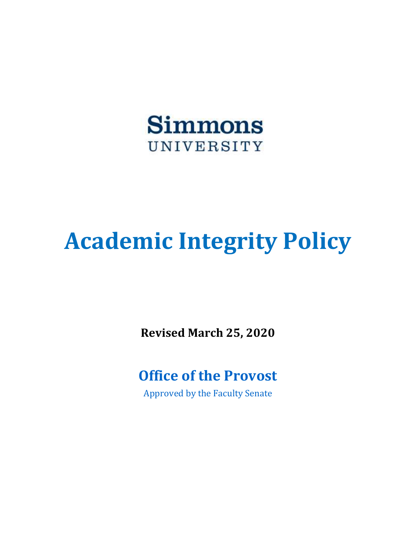

# **Academic Integrity Policy**

**Revised March 25, 2020** 

### **Office of the Provost**

Approved by the Faculty Senate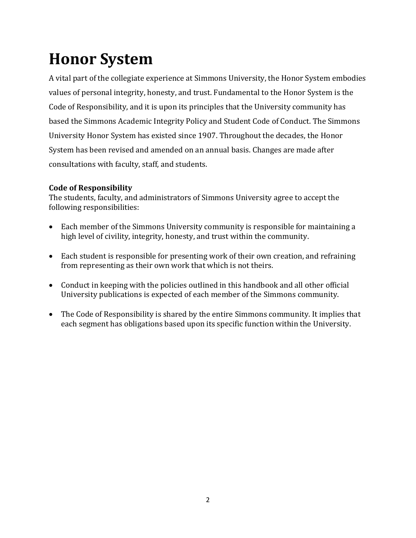## **Honor System**

A vital part of the collegiate experience at Simmons University, the Honor System embodies values of personal integrity, honesty, and trust. Fundamental to the Honor System is the Code of Responsibility, and it is upon its principles that the University community has based the Simmons Academic Integrity Policy and Student Code of Conduct. The Simmons University Honor System has existed since 1907. Throughout the decades, the Honor System has been revised and amended on an annual basis. Changes are made after consultations with faculty, staff, and students.

#### **Code of Responsibility**

The students, faculty, and administrators of Simmons University agree to accept the following responsibilities:

- Each member of the Simmons University community is responsible for maintaining a high level of civility, integrity, honesty, and trust within the community.
- Each student is responsible for presenting work of their own creation, and refraining from representing as their own work that which is not theirs.
- Conduct in keeping with the policies outlined in this handbook and all other official University publications is expected of each member of the Simmons community.
- The Code of Responsibility is shared by the entire Simmons community. It implies that each segment has obligations based upon its specific function within the University.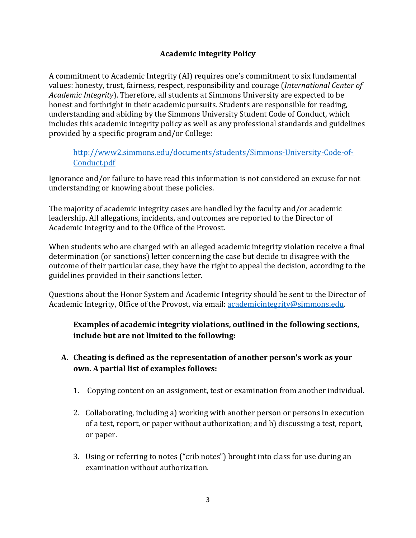#### **Academic Integrity Policy**

A commitment to Academic Integrity (AI) requires one's commitment to six fundamental values: honesty, trust, fairness, respect, responsibility and courage (*International Center of Academic Integrity*). Therefore, all students at Simmons University are expected to be honest and forthright in their academic pursuits. Students are responsible for reading, understanding and abiding by the Simmons University Student Code of Conduct, which includes this academic integrity policy as well as any professional standards and guidelines provided by a specific program and/or College:

#### [http://www2.simmons.edu/documents/students/Simmons-University-Code-of-](http://www2.simmons.edu/documents/students/Simmons-University-Code-of-Conduct.pdf)[Conduct.pdf](http://www2.simmons.edu/documents/students/Simmons-University-Code-of-Conduct.pdf)

Ignorance and/or failure to have read this information is not considered an excuse for not understanding or knowing about these policies.

The majority of academic integrity cases are handled by the faculty and/or academic leadership. All allegations, incidents, and outcomes are reported to the Director of Academic Integrity and to the Office of the Provost.

When students who are charged with an alleged academic integrity violation receive a final determination (or sanctions) letter concerning the case but decide to disagree with the outcome of their particular case, they have the right to appeal the decision, according to the guidelines provided in their sanctions letter.

Questions about the Honor System and Academic Integrity should be sent to the Director of Academic Integrity, Office of the Provost, via email: [academicintegrity@simmons.edu.](mailto:academicintegrity@simmons.edu)

**Examples of academic integrity violations, outlined in the following sections, include but are not limited to the following:** 

- **A. Cheating is defined as the representation of another person's work as your own. A partial list of examples follows:** 
	- 1. Copying content on an assignment, test or examination from another individual.
	- 2. Collaborating, including a) working with another person or persons in execution of a test, report, or paper without authorization; and b) discussing a test, report, or paper.
	- 3. Using or referring to notes ("crib notes") brought into class for use during an examination without authorization.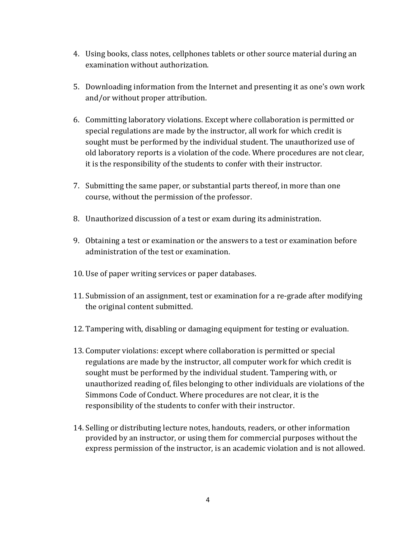- 4. Using books, class notes, cellphones tablets or other source material during an examination without authorization.
- 5. Downloading information from the Internet and presenting it as one's own work and/or without proper attribution.
- 6. Committing laboratory violations. Except where collaboration is permitted or special regulations are made by the instructor, all work for which credit is sought must be performed by the individual student. The unauthorized use of old laboratory reports is a violation of the code. Where procedures are not clear, it is the responsibility of the students to confer with their instructor.
- 7. Submitting the same paper, or substantial parts thereof, in more than one course, without the permission of the professor.
- 8. Unauthorized discussion of a test or exam during its administration.
- 9. Obtaining a test or examination or the answers to a test or examination before administration of the test or examination.
- 10. Use of paper writing services or paper databases.
- 11. Submission of an assignment, test or examination for a re-grade after modifying the original content submitted.
- 12. Tampering with, disabling or damaging equipment for testing or evaluation.
- 13. Computer violations: except where collaboration is permitted or special regulations are made by the instructor, all computer work for which credit is sought must be performed by the individual student. Tampering with, or unauthorized reading of, files belonging to other individuals are violations of the Simmons Code of Conduct. Where procedures are not clear, it is the responsibility of the students to confer with their instructor.
- 14. Selling or distributing lecture notes, handouts, readers, or other information provided by an instructor, or using them for commercial purposes without the express permission of the instructor, is an academic violation and is not allowed.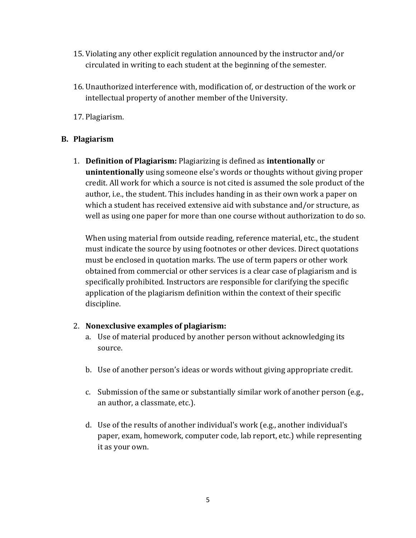- 15. Violating any other explicit regulation announced by the instructor and/or circulated in writing to each student at the beginning of the semester.
- 16. Unauthorized interference with, modification of, or destruction of the work or intellectual property of another member of the University.
- 17. Plagiarism.

#### **B. Plagiarism**

1. **Definition of Plagiarism:** Plagiarizing is defined as **intentionally** or **unintentionally** using someone else's words or thoughts without giving proper credit. All work for which a source is not cited is assumed the sole product of the author, i.e., the student. This includes handing in as their own work a paper on which a student has received extensive aid with substance and/or structure, as well as using one paper for more than one course without authorization to do so.

 must be enclosed in quotation marks. The use of term papers or other work When using material from outside reading, reference material, etc., the student must indicate the source by using footnotes or other devices. Direct quotations obtained from commercial or other services is a clear case of plagiarism and is specifically prohibited. Instructors are responsible for clarifying the specific application of the plagiarism definition within the context of their specific discipline.

#### 2. **Nonexclusive examples of plagiarism:**

- a. Use of material produced by another person without acknowledging its source.
- b. Use of another person's ideas or words without giving appropriate credit.
- c. Submission of the same or substantially similar work of another person (e.g., an author, a classmate, etc.).
- d. Use of the results of another individual's work (e.g., another individual's paper, exam, homework, computer code, lab report, etc.) while representing it as your own.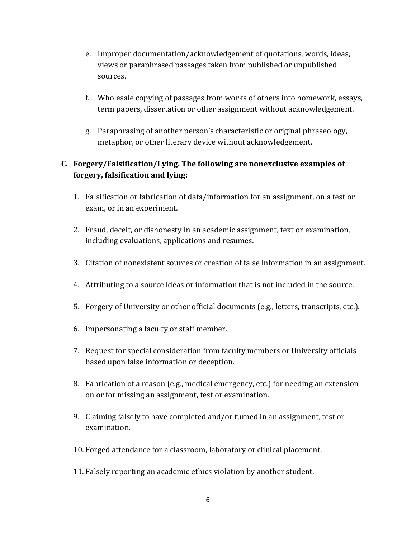- e. Improper documentation/acknowledgement of quotations, words, ideas, views or paraphrased passages taken from published or unpublished sources.
- f. Wholesale copying of passages from works of others into homework, essays, term papers, dissertation or other assignment without acknowledgement.
- g. Paraphrasing of another person's characteristic or original phraseology, metaphor, or other literary device without acknowledgement.

#### **C. Forgery/Falsification/Lying. The following are nonexclusive examples of forgery, falsification and lying:**

- 1. Falsification or fabrication of data/information for an assignment, on a test or exam, or in an experiment.
- 2. Fraud, deceit, or dishonesty in an academic assignment, text or examination, including evaluations, applications and resumes.
- 3. Citation of nonexistent sources or creation of false information in an assignment.
- 4. Attributing to a source ideas or information that is not included in the source.
- 5. Forgery of University or other official documents (e.g., letters, transcripts, etc.).
- 6. Impersonating a faculty or staff member.
- 7. Request for special consideration from faculty members or University officials based upon false information or deception.
- 8. Fabrication of a reason (e.g., medical emergency, etc.) for needing an extension on or for missing an assignment, test or examination.
- 9. Claiming falsely to have completed and/or turned in an assignment, test or examination.
- 10. Forged attendance for a classroom, laboratory or clinical placement.
- 11. Falsely reporting an academic ethics violation by another student.